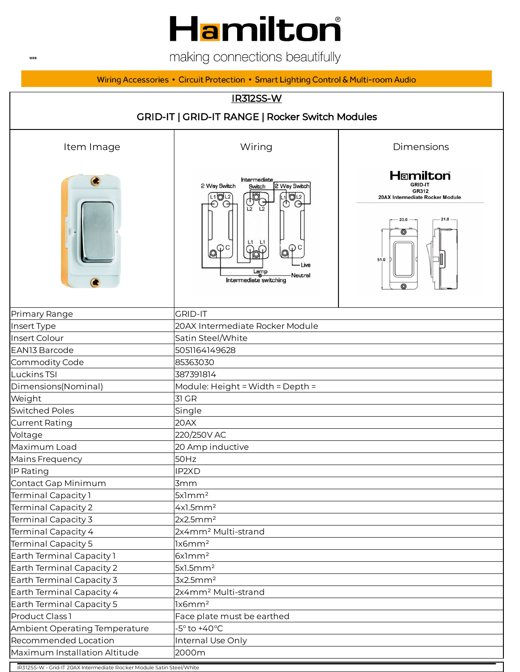## Hamilton®

making connections beautifully

Wiring Accessories • Circuit Protection • Smart Lighting Control & Multi-room Audio



IR312SS-W - Grid-IT 20AX Intermediate Rocker Module Satin Steel/White

**WEB**